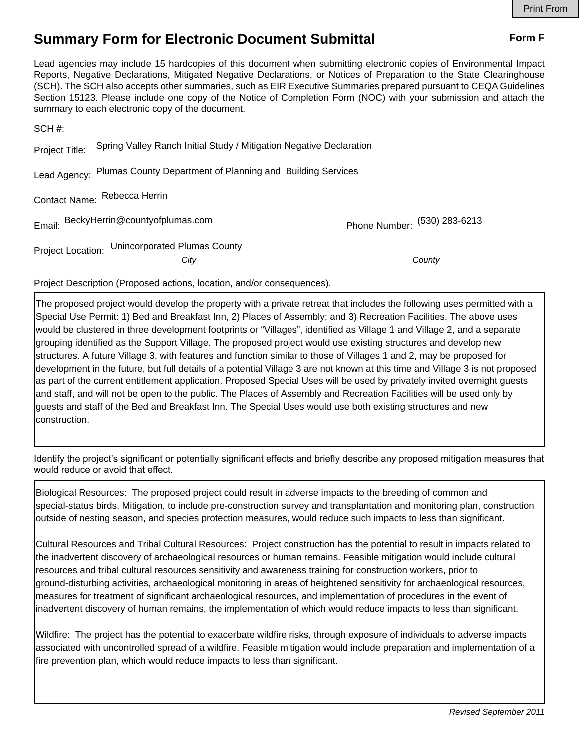## **Summary Form for Electronic Document Submittal Form F Form F**

Lead agencies may include 15 hardcopies of this document when submitting electronic copies of Environmental Impact Reports, Negative Declarations, Mitigated Negative Declarations, or Notices of Preparation to the State Clearinghouse (SCH). The SCH also accepts other summaries, such as EIR Executive Summaries prepared pursuant to CEQA Guidelines Section 15123. Please include one copy of the Notice of Completion Form (NOC) with your submission and attach the summary to each electronic copy of the document.

| Project Title:                                                          | Spring Valley Ranch Initial Study / Mitigation Negative Declaration |                                |
|-------------------------------------------------------------------------|---------------------------------------------------------------------|--------------------------------|
| Lead Agency: Plumas County Department of Planning and Building Services |                                                                     |                                |
| Contact Name: Rebecca Herrin                                            |                                                                     |                                |
|                                                                         | Email: BeckyHerrin@countyofplumas.com                               | Phone Number: $(530)$ 283-6213 |
|                                                                         | Project Location: Unincorporated Plumas County                      |                                |
|                                                                         | City                                                                | County                         |

Project Description (Proposed actions, location, and/or consequences).

The proposed project would develop the property with a private retreat that includes the following uses permitted with a Special Use Permit: 1) Bed and Breakfast Inn, 2) Places of Assembly; and 3) Recreation Facilities. The above uses would be clustered in three development footprints or "Villages", identified as Village 1 and Village 2, and a separate grouping identified as the Support Village. The proposed project would use existing structures and develop new structures. A future Village 3, with features and function similar to those of Villages 1 and 2, may be proposed for development in the future, but full details of a potential Village 3 are not known at this time and Village 3 is not proposed as part of the current entitlement application. Proposed Special Uses will be used by privately invited overnight guests and staff, and will not be open to the public. The Places of Assembly and Recreation Facilities will be used only by guests and staff of the Bed and Breakfast Inn. The Special Uses would use both existing structures and new construction.

Identify the project's significant or potentially significant effects and briefly describe any proposed mitigation measures that would reduce or avoid that effect.

Biological Resources: The proposed project could result in adverse impacts to the breeding of common and special-status birds. Mitigation, to include pre-construction survey and transplantation and monitoring plan, construction outside of nesting season, and species protection measures, would reduce such impacts to less than significant.

Cultural Resources and Tribal Cultural Resources: Project construction has the potential to result in impacts related to the inadvertent discovery of archaeological resources or human remains. Feasible mitigation would include cultural resources and tribal cultural resources sensitivity and awareness training for construction workers, prior to ground-disturbing activities, archaeological monitoring in areas of heightened sensitivity for archaeological resources, measures for treatment of significant archaeological resources, and implementation of procedures in the event of inadvertent discovery of human remains, the implementation of which would reduce impacts to less than significant.

Wildfire: The project has the potential to exacerbate wildfire risks, through exposure of individuals to adverse impacts associated with uncontrolled spread of a wildfire. Feasible mitigation would include preparation and implementation of a fire prevention plan, which would reduce impacts to less than significant.